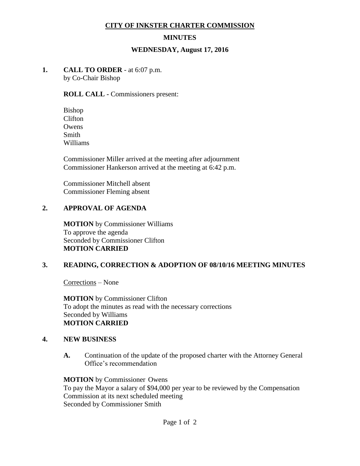#### **CITY OF INKSTER CHARTER COMMISSION**

### **MINUTES**

#### **WEDNESDAY, August 17, 2016**

# **1. CALL TO ORDER** - at 6:07 p.m.

by Co-Chair Bishop

#### **ROLL CALL -** Commissioners present:

Bishop Clifton **Owens** Smith Williams

Commissioner Miller arrived at the meeting after adjournment Commissioner Hankerson arrived at the meeting at 6:42 p.m.

Commissioner Mitchell absent Commissioner Fleming absent

### **2. APPROVAL OF AGENDA**

**MOTION** by Commissioner Williams To approve the agenda Seconded by Commissioner Clifton **MOTION CARRIED**

### **3. READING, CORRECTION & ADOPTION OF 08/10/16 MEETING MINUTES**

Corrections – None

**MOTION** by Commissioner Clifton To adopt the minutes as read with the necessary corrections Seconded by Williams **MOTION CARRIED**

### **4. NEW BUSINESS**

**A.** Continuation of the update of the proposed charter with the Attorney General Office's recommendation

**MOTION** by Commissioner Owens To pay the Mayor a salary of \$94,000 per year to be reviewed by the Compensation Commission at its next scheduled meeting Seconded by Commissioner Smith